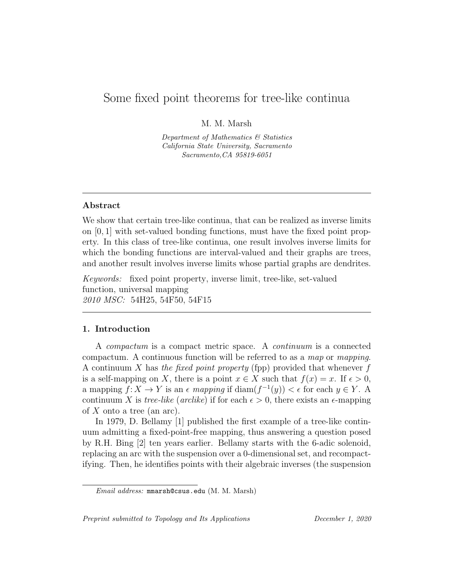# Some fixed point theorems for tree-like continua

M. M. Marsh

Department of Mathematics & Statistics California State University, Sacramento Sacramento,CA 95819-6051

#### Abstract

We show that certain tree-like continua, that can be realized as inverse limits on [0, 1] with set-valued bonding functions, must have the fixed point property. In this class of tree-like continua, one result involves inverse limits for which the bonding functions are interval-valued and their graphs are trees, and another result involves inverse limits whose partial graphs are dendrites.

Keywords: fixed point property, inverse limit, tree-like, set-valued function, universal mapping 2010 MSC: 54H25, 54F50, 54F15

## 1. Introduction

A compactum is a compact metric space. A continuum is a connected compactum. A continuous function will be referred to as a map or mapping. A continuum X has the fixed point property (fpp) provided that whenever f is a self-mapping on X, there is a point  $x \in X$  such that  $f(x) = x$ . If  $\epsilon > 0$ , a mapping  $f: X \to Y$  is an  $\epsilon$  mapping if  $\text{diam}(f^{-1}(y)) < \epsilon$  for each  $y \in Y$ . A continuum X is tree-like (arclike) if for each  $\epsilon > 0$ , there exists an  $\epsilon$ -mapping of  $X$  onto a tree (an arc).

In 1979, D. Bellamy [1] published the first example of a tree-like continuum admitting a fixed-point-free mapping, thus answering a question posed by R.H. Bing [2] ten years earlier. Bellamy starts with the 6-adic solenoid, replacing an arc with the suspension over a 0-dimensional set, and recompactifying. Then, he identifies points with their algebraic inverses (the suspension

Preprint submitted to Topology and Its Applications December 1, 2020

Email address: mmarsh@csus.edu (M. M. Marsh)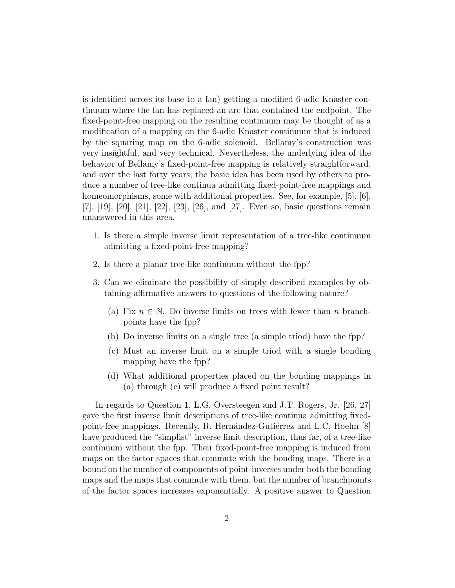is identified across its base to a fan) getting a modified 6-adic Knaster continuum where the fan has replaced an arc that contained the endpoint. The fixed-point-free mapping on the resulting continuum may be thought of as a modification of a mapping on the 6-adic Knaster continuum that is induced by the squaring map on the 6-adic solenoid. Bellamy's construction was very insightful, and very technical. Nevertheless, the underlying idea of the behavior of Bellamy's fixed-point-free mapping is relatively straightforward, and over the last forty years, the basic idea has been used by others to produce a number of tree-like continua admitting fixed-point-free mappings and homeomorphisms, some with additional properties. See, for example, [5], [6], [7], [19], [20], [21], [22], [23], [26], and [27]. Even so, basic questions remain unanswered in this area.

- 1. Is there a simple inverse limit representation of a tree-like continuum admitting a fixed-point-free mapping?
- 2. Is there a planar tree-like continuum without the fpp?
- 3. Can we eliminate the possibility of simply described examples by obtaining affirmative answers to questions of the following nature?
	- (a) Fix  $n \in \mathbb{N}$ . Do inverse limits on trees with fewer than n branchpoints have the fpp?
	- (b) Do inverse limits on a single tree (a simple triod) have the fpp?
	- (c) Must an inverse limit on a simple triod with a single bonding mapping have the fpp?
	- (d) What additional properties placed on the bonding mappings in (a) through (c) will produce a fixed point result?

In regards to Question 1, L.G. Oversteegen and J.T. Rogers, Jr. [26, 27] gave the first inverse limit descriptions of tree-like continua admitting fixedpoint-free mappings. Recently, R. Hernández-Gutiérrez and L.C. Hoehn [8] have produced the "simplist" inverse limit description, thus far, of a tree-like continuum without the fpp. Their fixed-point-free mapping is induced from maps on the factor spaces that commute with the bonding maps. There is a bound on the number of components of point-inverses under both the bonding maps and the maps that commute with them, but the number of branchpoints of the factor spaces increases exponentially. A positive answer to Question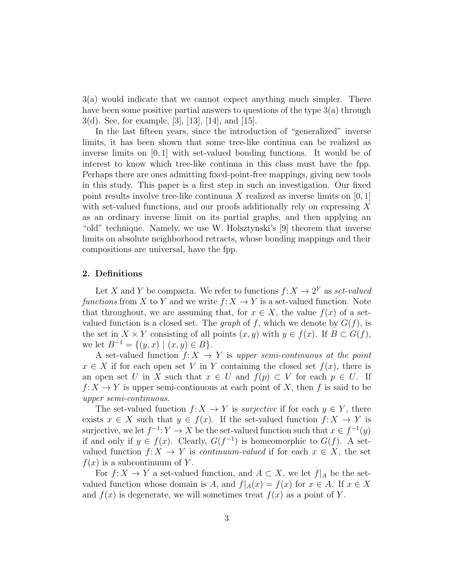3(a) would indicate that we cannot expect anything much simpler. There have been some positive partial answers to questions of the type  $3(a)$  through 3(d). See, for example, [3], [13], [14], and [15].

In the last fifteen years, since the introduction of "generalized" inverse limits, it has been shown that some tree-like continua can be realized as inverse limits on  $[0, 1]$  with set-valued bonding functions. It would be of interest to know which tree-like continua in this class must have the fpp. Perhaps there are ones admitting fixed-point-free mappings, giving new tools in this study. This paper is a first step in such an investigation. Our fixed point results involve tree-like continuua X realized as inverse limits on  $[0,1]$ with set-valued functions, and our proofs additionally rely on expressing X as an ordinary inverse limit on its partial graphs, and then applying an "old" technique. Namely, we use W. Holsztynski's [9] theorem that inverse limits on absolute neighborhood retracts, whose bonding mappings and their compositions are universal, have the fpp.

# 2. Definitions

Let X and Y be compacta. We refer to functions  $f: X \to 2^Y$  as set-valued functions from X to Y and we write  $f: X \to Y$  is a set-valued function. Note that throughout, we are assuming that, for  $x \in X$ , the value  $f(x)$  of a setvalued function is a closed set. The *graph* of f, which we denote by  $G(f)$ , is the set in  $X \times Y$  consisting of all points  $(x, y)$  with  $y \in f(x)$ . If  $B \subset G(f)$ , we let  $B^{-1} = \{(y, x) \mid (x, y) \in B\}.$ 

A set-valued function  $f: X \to Y$  is upper semi-continuous at the point  $x \in X$  if for each open set V in Y containing the closed set  $f(x)$ , there is an open set U in X such that  $x \in U$  and  $f(p) \subset V$  for each  $p \in U$ . If  $f: X \to Y$  is upper semi-continuous at each point of X, then f is said to be upper semi-continuous.

The set-valued function  $f: X \to Y$  is *surjective* if for each  $y \in Y$ , there exists  $x \in X$  such that  $y \in f(x)$ . If the set-valued function  $f: X \to Y$  is surjective, we let  $f^{-1}: Y \to X$  be the set-valued function such that  $x \in f^{-1}(y)$ if and only if  $y \in f(x)$ . Clearly,  $G(f^{-1})$  is homeomorphic to  $G(f)$ . A setvalued function  $f: X \to Y$  is *continuum-valued* if for each  $x \in X$ , the set  $f(x)$  is a subcontinuum of Y.

For  $f: X \to Y$  a set-valued function, and  $A \subset X$ , we let  $f|_A$  be the setvalued function whose domain is A, and  $f|_A(x) = f(x)$  for  $x \in A$ . If  $x \in X$ and  $f(x)$  is degenerate, we will sometimes treat  $f(x)$  as a point of Y.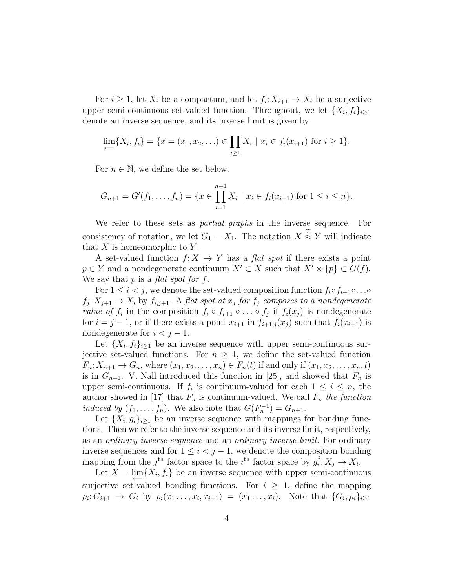For  $i \geq 1$ , let  $X_i$  be a compactum, and let  $f_i: X_{i+1} \to X_i$  be a surjective upper semi-continuous set-valued function. Throughout, we let  $\{X_i, f_i\}_{i\geq 1}$ denote an inverse sequence, and its inverse limit is given by

$$
\lim_{i \to \infty} \{X_i, f_i\} = \{x = (x_1, x_2, \ldots) \in \prod_{i \ge 1} X_i \mid x_i \in f_i(x_{i+1}) \text{ for } i \ge 1\}.
$$

For  $n \in \mathbb{N}$ , we define the set below.

$$
G_{n+1} = G'(f_1, \dots, f_n) = \{x \in \prod_{i=1}^{n+1} X_i \mid x_i \in f_i(x_{i+1}) \text{ for } 1 \le i \le n\}.
$$

We refer to these sets as *partial graphs* in the inverse sequence. For consistency of notation, we let  $G_1 = X_1$ . The notation  $X \stackrel{T}{\approx} Y$  will indicate that  $X$  is homeomorphic to  $Y$ .

A set-valued function  $f: X \to Y$  has a flat spot if there exists a point  $p \in Y$  and a nondegenerate continuum  $X' \subset X$  such that  $X' \times \{p\} \subset G(f)$ . We say that  $p$  is a *flat spot for f*.

For  $1 \leq i < j$ , we denote the set-valued composition function  $f_i \circ f_{i+1} \circ \ldots \circ f_{i+1} \circ f_{i+1} \circ \ldots \circ f_{i+1} \circ f_{i+1} \circ \ldots \circ f_{i+1} \circ f_{i+1} \circ \ldots \circ f_{i+1} \circ f_{i+1} \circ \ldots \circ f_{i+1} \circ f_{i+1} \circ \ldots \circ f_{i+1} \circ \ldots \circ f_{i+1} \circ f_{i+1} \circ \ldots \circ f_{i$  $f_j: X_{j+1} \to X_i$  by  $f_{i,j+1}$ . A flat spot at  $x_j$  for  $f_j$  composes to a nondegenerate *value of*  $f_i$  in the composition  $f_i \circ f_{i+1} \circ \ldots \circ f_j$  if  $f_i(x_j)$  is nondegenerate for  $i = j - 1$ , or if there exists a point  $x_{i+1}$  in  $f_{i+1,j}(x_i)$  such that  $f_i(x_{i+1})$  is nondegenerate for  $i < j - 1$ .

Let  $\{X_i, f_i\}_{i\geq 1}$  be an inverse sequence with upper semi-continuous surjective set-valued functions. For  $n \geq 1$ , we define the set-valued function  $F_n: X_{n+1} \to G_n$ , where  $(x_1, x_2, \ldots, x_n) \in F_n(t)$  if and only if  $(x_1, x_2, \ldots, x_n, t)$ is in  $G_{n+1}$ . V. Nall introduced this function in [25], and showed that  $F_n$  is upper semi-continuous. If  $f_i$  is continuum-valued for each  $1 \leq i \leq n$ , the author showed in [17] that  $F_n$  is continuum-valued. We call  $F_n$  the function induced by  $(f_1, \ldots, f_n)$ . We also note that  $G(F_n^{-1}) = G_{n+1}$ .

Let  ${X_i, g_i}_{i\geq 1}$  be an inverse sequence with mappings for bonding functions. Then we refer to the inverse sequence and its inverse limit, respectively, as an ordinary inverse sequence and an ordinary inverse limit. For ordinary inverse sequences and for  $1 \leq i < j - 1$ , we denote the composition bonding mapping from the j<sup>th</sup> factor space to the i<sup>th</sup> factor space by  $g_i^j$  $i: X_j \to X_i.$ 

Let  $X = \lim_{n \to \infty} \{X_i, f_i\}$  be an inverse sequence with upper semi-continuous surjective set-valued bonding functions. For  $i \geq 1$ , define the mapping  $\rho_i: G_{i+1} \to G_i$  by  $\rho_i(x_1, \ldots, x_i, x_{i+1}) = (x_1, \ldots, x_i)$ . Note that  $\{G_i, \rho_i\}_{i \geq 1}$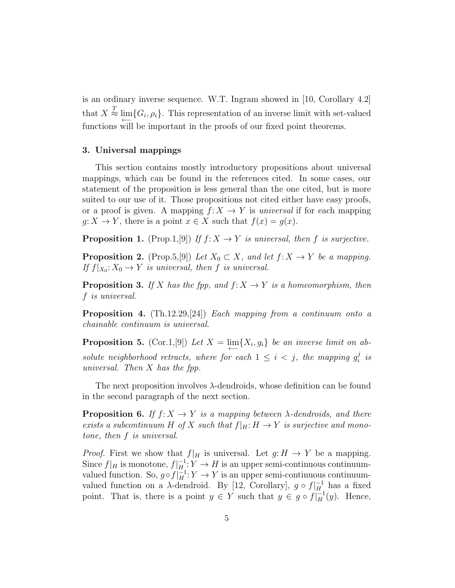is an ordinary inverse sequence. W.T. Ingram showed in [10, Corollary 4.2] that  $X \stackrel{T}{\approx} \varprojlim \{ G_i, \rho_i \}.$  This representation of an inverse limit with set-valued functions will be important in the proofs of our fixed point theorems.

#### 3. Universal mappings

This section contains mostly introductory propositions about universal mappings, which can be found in the references cited. In some cases, our statement of the proposition is less general than the one cited, but is more suited to our use of it. Those propositions not cited either have easy proofs, or a proof is given. A mapping  $f: X \to Y$  is universal if for each mapping  $g: X \to Y$ , there is a point  $x \in X$  such that  $f(x) = g(x)$ .

**Proposition 1.** (Prop.1,[9]) If  $f: X \to Y$  is universal, then f is surjective.

**Proposition 2.** (Prop.5,[9]) Let  $X_0 \subset X$ , and let  $f: X \to Y$  be a mapping. If  $f|_{X_0}: X_0 \to Y$  is universal, then f is universal.

**Proposition 3.** If X has the fpp, and  $f: X \rightarrow Y$  is a homeomorphism, then f is universal.

**Proposition 4.** (Th.12.29, [24]) Each mapping from a continuum onto a chainable continuum is universal.

**Proposition 5.** (Cor.1,[9]) Let  $X = \lim_{\longleftarrow} \{X_i, g_i\}$  be an inverse limit on absolute neighborhood retracts, where for each  $1 \leq i \leq j$ , the mapping  $g_i^j$  $\frac{j}{i}$  is universal. Then X has the fpp.

The next proposition involves  $\lambda$ -dendroids, whose definition can be found in the second paragraph of the next section.

**Proposition 6.** If  $f: X \to Y$  is a mapping between  $\lambda$ -dendroids, and there exists a subcontinuum H of X such that  $f|_H: H \to Y$  is surjective and monotone, then f is universal.

*Proof.* First we show that  $f|_H$  is universal. Let  $g: H \to Y$  be a mapping. Since  $f|_H$  is monotone,  $f|_H^{-1}: Y \to H$  is an upper semi-continuous continuumvalued function. So,  $g \circ f\left|_{H}^{-1}: Y \to Y$  is an upper semi-continuous continuumvalued function on a  $\lambda$ -dendroid. By [12, Corollary],  $g \circ f|_{H}^{-1}$  has a fixed point. That is, there is a point  $y \in Y$  such that  $y \in g \circ f\vert_H^{-1}(y)$ . Hence,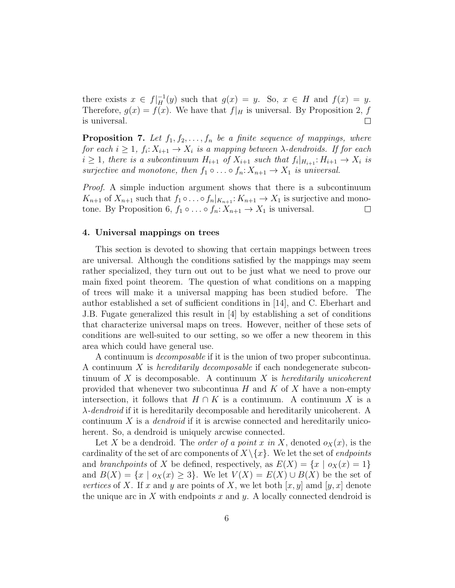there exists  $x \in f|_H^{-1}(y)$  such that  $g(x) = y$ . So,  $x \in H$  and  $f(x) = y$ . Therefore,  $g(x) = f(x)$ . We have that  $f|_H$  is universal. By Proposition 2, f is universal.  $\Box$ 

**Proposition 7.** Let  $f_1, f_2, \ldots, f_n$  be a finite sequence of mappings, where for each  $i \geq 1$ ,  $f_i: X_{i+1} \to X_i$  is a mapping between  $\lambda$ -dendroids. If for each  $i \geq 1$ , there is a subcontinuum  $H_{i+1}$  of  $X_{i+1}$  such that  $f_i|_{H_{i+1}}: H_{i+1} \to X_i$  is surjective and monotone, then  $f_1 \circ \ldots \circ f_n : X_{n+1} \to X_1$  is universal.

Proof. A simple induction argument shows that there is a subcontinuum  $K_{n+1}$  of  $X_{n+1}$  such that  $f_1 \circ \ldots \circ f_n|_{K_{n+1}}: K_{n+1} \to X_1$  is surjective and monotone. By Proposition 6,  $f_1 \circ \ldots \circ f_n: X_{n+1} \to X_1$  is universal.  $\Box$ 

#### 4. Universal mappings on trees

This section is devoted to showing that certain mappings between trees are universal. Although the conditions satisfied by the mappings may seem rather specialized, they turn out out to be just what we need to prove our main fixed point theorem. The question of what conditions on a mapping of trees will make it a universal mapping has been studied before. The author established a set of sufficient conditions in [14], and C. Eberhart and J.B. Fugate generalized this result in [4] by establishing a set of conditions that characterize universal maps on trees. However, neither of these sets of conditions are well-suited to our setting, so we offer a new theorem in this area which could have general use.

A continuum is decomposable if it is the union of two proper subcontinua. A continuum X is hereditarily decomposable if each nondegenerate subcontinuum of X is decomposable. A continuum X is hereditarily unicoherent provided that whenever two subcontinua  $H$  and  $K$  of  $X$  have a non-empty intersection, it follows that  $H \cap K$  is a continuum. A continuum X is a  $\lambda$ -dendroid if it is hereditarily decomposable and hereditarily unicoherent. A continuum  $X$  is a *dendroid* if it is arcwise connected and hereditarily unicoherent. So, a dendroid is uniquely arcwise connected.

Let X be a dendroid. The *order of a point x in* X, denoted  $o_X(x)$ , is the cardinality of the set of arc components of  $X\setminus\{x\}$ . We let the set of *endpoints* and branchpoints of X be defined, respectively, as  $E(X) = \{x \mid o_X(x) = 1\}$ and  $B(X) = \{x \mid o_X(x) \geq 3\}$ . We let  $V(X) = E(X) \cup B(X)$  be the set of vertices of X. If x and y are points of X, we let both  $[x, y]$  amd  $[y, x]$  denote the unique arc in X with endpoints x and y. A locally connected dendroid is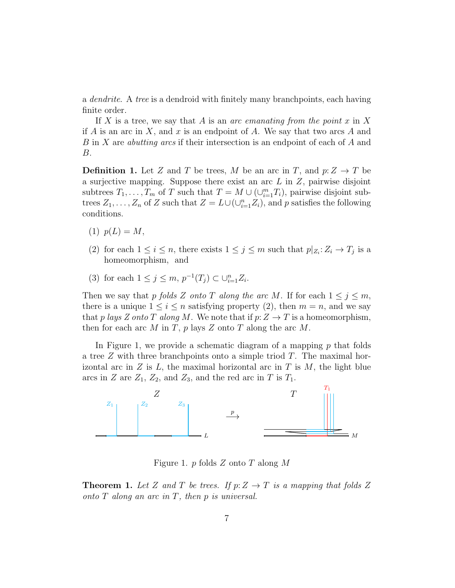a *dendrite*. A tree is a dendroid with finitely many branchpoints, each having finite order.

If X is a tree, we say that A is an arc emanating from the point  $x$  in X if A is an arc in X, and x is an endpoint of A. We say that two arcs A and B in X are abutting arcs if their intersection is an endpoint of each of A and B.

**Definition 1.** Let Z and T be trees, M be an arc in T, and  $p: Z \to T$  be a surjective mapping. Suppose there exist an arc  $L$  in  $Z$ , pairwise disjoint subtrees  $T_1, \ldots, T_m$  of T such that  $T = M \cup (\cup_{i=1}^m T_i)$ , pairwise disjoint subtrees  $Z_1, \ldots, Z_n$  of Z such that  $Z = L \cup (\cup_{i=1}^n Z_i)$ , and p satisfies the following conditions.

- (1)  $p(L) = M$ ,
- (2) for each  $1 \leq i \leq n$ , there exists  $1 \leq j \leq m$  such that  $p|_{Z_i}: Z_i \to T_j$  is a homeomorphism, and
- (3) for each  $1 \le j \le m$ ,  $p^{-1}(T_j) \subset \bigcup_{i=1}^n Z_i$ .

Then we say that p folds Z onto T along the arc M. If for each  $1 \leq j \leq m$ , there is a unique  $1 \leq i \leq n$  satisfying property (2), then  $m = n$ , and we say that p lays Z onto T along M. We note that if  $p:Z\to T$  is a homeomorphism, then for each arc M in T,  $p$  lays Z onto T along the arc M.

In Figure 1, we provide a schematic diagram of a mapping  $p$  that folds a tree  $Z$  with three branchpoints onto a simple triod  $T$ . The maximal horizontal arc in  $Z$  is  $L$ , the maximal horizontal arc in  $T$  is  $M$ , the light blue arcs in Z are  $Z_1$ ,  $Z_2$ , and  $Z_3$ , and the red arc in T is  $T_1$ .



Figure 1. p folds  $Z$  onto  $T$  along  $M$ 

**Theorem 1.** Let Z and T be trees. If  $p: Z \to T$  is a mapping that folds Z onto  $T$  along an arc in  $T$ , then  $p$  is universal.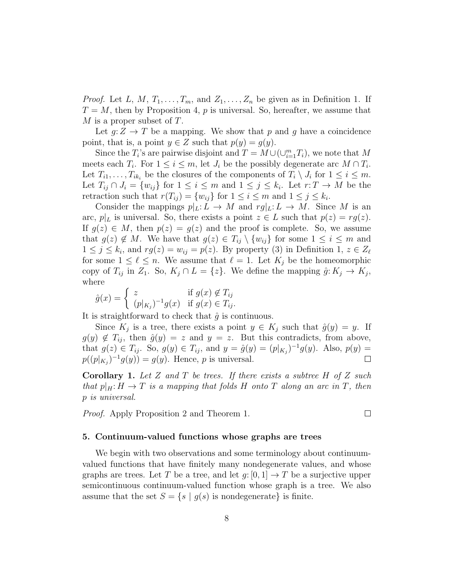*Proof.* Let L, M,  $T_1, \ldots, T_m$ , and  $Z_1, \ldots, Z_n$  be given as in Definition 1. If  $T = M$ , then by Proposition 4, p is universal. So, hereafter, we assume that  $M$  is a proper subset of  $T$ .

Let  $q:Z \to T$  be a mapping. We show that p and q have a coincidence point, that is, a point  $y \in Z$  such that  $p(y) = g(y)$ .

Since the  $T_i$ 's are pairwise disjoint and  $T = M \cup (\cup_{i=1}^m T_i)$ , we note that M meets each  $T_i$ . For  $1 \leq i \leq m$ , let  $J_i$  be the possibly degenerate arc  $M \cap T_i$ . Let  $T_{i1}, \ldots, T_{ik_i}$  be the closures of the components of  $T_i \setminus J_i$  for  $1 \leq i \leq m$ . Let  $T_{ij} \cap J_i = \{w_{ij}\}\$ for  $1 \leq i \leq m$  and  $1 \leq j \leq k_i$ . Let  $r: T \to M$  be the retraction such that  $r(T_{ij}) = \{w_{ij}\}\$ for  $1 \leq i \leq m$  and  $1 \leq j \leq k_i$ .

Consider the mappings  $p|_L: L \to M$  and  $r g|_L: L \to M$ . Since M is an arc,  $p|_L$  is universal. So, there exists a point  $z \in L$  such that  $p(z) = rg(z)$ . If  $g(z) \in M$ , then  $p(z) = g(z)$  and the proof is complete. So, we assume that  $g(z) \notin M$ . We have that  $g(z) \in T_{ij} \setminus \{w_{ij}\}\)$  for some  $1 \leq i \leq m$  and  $1 \leq j \leq k_i$ , and  $rg(z) = w_{ij} = p(z)$ . By property (3) in Definition 1,  $z \in Z_{\ell}$ for some  $1 \leq \ell \leq n$ . We assume that  $\ell = 1$ . Let  $K_j$  be the homeomorphic copy of  $T_{ij}$  in  $Z_1$ . So,  $K_j \cap L = \{z\}$ . We define the mapping  $\hat{g}: K_j \to K_j$ , where

$$
\hat{g}(x) = \begin{cases} z & \text{if } g(x) \notin T_{ij} \\ (p|_{K_j})^{-1}g(x) & \text{if } g(x) \in T_{ij}. \end{cases}
$$

It is straightforward to check that  $\hat{g}$  is continuous.

Since  $K_j$  is a tree, there exists a point  $y \in K_j$  such that  $\hat{g}(y) = y$ . If  $g(y) \notin T_{ij}$ , then  $\hat{g}(y) = z$  and  $y = z$ . But this contradicts, from above, that  $g(z) \in T_{ij}$ . So,  $g(y) \in T_{ij}$ , and  $y = \hat{g}(y) = (p|_{K_j})^{-1}g(y)$ . Also,  $p(y) =$  $p((p|_{K_j})^{-1}g(y)) = g(y)$ . Hence, p is universal.  $\Box$ 

**Corollary 1.** Let Z and T be trees. If there exists a subtree H of Z such that  $p|_H: H \to T$  is a mapping that folds H onto T along an arc in T, then p is universal.

Proof. Apply Proposition 2 and Theorem 1.

### $\Box$

#### 5. Continuum-valued functions whose graphs are trees

We begin with two observations and some terminology about continuumvalued functions that have finitely many nondegenerate values, and whose graphs are trees. Let T be a tree, and let  $q: [0, 1] \to T$  be a surjective upper semicontinuous continuum-valued function whose graph is a tree. We also assume that the set  $S = \{s \mid g(s) \text{ is nondegenerate}\}\$ is finite.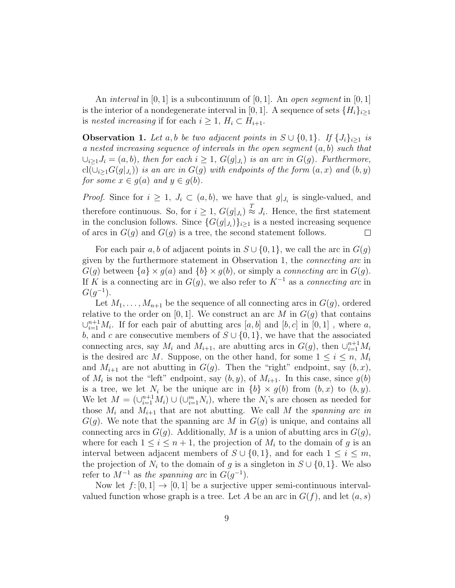An *interval* in [0, 1] is a subcontinuum of [0, 1]. An *open segment* in [0, 1] is the interior of a nondegenerate interval in [0, 1]. A sequence of sets  ${H_i}_{i\geq 1}$ is nested increasing if for each  $i \geq 1$ ,  $H_i \subset H_{i+1}$ .

**Observation 1.** Let a, b be two adjacent points in  $S \cup \{0,1\}$ . If  $\{J_i\}_{i\geq 1}$  is a nested increasing sequence of intervals in the open segment  $(a, b)$  such that  $\bigcup_{i\geq 1}J_i=(a,b)$ , then for each  $i\geq 1$ ,  $G(g|_{J_i})$  is an arc in  $G(g)$ . Furthermore,  $\text{cl}(\cup_{i\geq 1}G(g|_{J_i}))$  is an arc in  $G(g)$  with endpoints of the form  $(a,x)$  and  $(b,y)$ for some  $x \in q(a)$  and  $y \in q(b)$ .

*Proof.* Since for  $i \geq 1$ ,  $J_i \subset (a, b)$ , we have that  $g|_{J_i}$  is single-valued, and therefore continuous. So, for  $i \geq 1$ ,  $G(g|_{J_i}) \stackrel{T}{\approx} J_i$ . Hence, the first statement in the conclusion follows. Since  $\{G(g|_{J_i})\}_{i\geq 1}$  is a nested increasing sequence of arcs in  $G(q)$  and  $G(q)$  is a tree, the second statement follows.  $\Box$ 

For each pair a, b of adjacent points in  $S \cup \{0,1\}$ , we call the arc in  $G(q)$ given by the furthermore statement in Observation 1, the connecting arc in  $G(q)$  between  $\{a\} \times g(a)$  and  $\{b\} \times g(b)$ , or simply a *connecting arc* in  $G(q)$ . If K is a connecting arc in  $G(q)$ , we also refer to  $K^{-1}$  as a *connecting arc* in  $G(g^{-1}).$ 

Let  $M_1, \ldots, M_{n+1}$  be the sequence of all connecting arcs in  $G(g)$ , ordered relative to the order on [0, 1]. We construct an arc M in  $G(q)$  that contains  $\cup_{i=1}^{n+1} M_i$ . If for each pair of abutting arcs  $[a, b]$  and  $[b, c]$  in  $[0, 1]$ , where a, b, and c are consecutive members of  $S \cup \{0,1\}$ , we have that the associated connecting arcs, say  $M_i$  and  $M_{i+1}$ , are abutting arcs in  $G(g)$ , then  $\cup_{i=1}^{n+1} M_i$ is the desired arc M. Suppose, on the other hand, for some  $1 \leq i \leq n$ ,  $M_i$ and  $M_{i+1}$  are not abutting in  $G(g)$ . Then the "right" endpoint, say  $(b, x)$ , of  $M_i$  is not the "left" endpoint, say  $(b, y)$ , of  $M_{i+1}$ . In this case, since  $g(b)$ is a tree, we let  $N_i$  be the unique arc in  $\{b\} \times g(b)$  from  $(b, x)$  to  $(b, y)$ . We let  $M = (\cup_{i=1}^{n+1} M_i) \cup (\cup_{i=1}^{m} N_i)$ , where the  $N_i$ 's are chosen as needed for those  $M_i$  and  $M_{i+1}$  that are not abutting. We call M the spanning arc in  $G(g)$ . We note that the spanning arc M in  $G(g)$  is unique, and contains all connecting arcs in  $G(g)$ . Additionally, M is a union of abutting arcs in  $G(g)$ , where for each  $1 \leq i \leq n+1$ , the projection of  $M_i$  to the domain of g is an interval between adjacent members of  $S \cup \{0,1\}$ , and for each  $1 \leq i \leq m$ , the projection of  $N_i$  to the domain of g is a singleton in  $S \cup \{0,1\}$ . We also refer to  $M^{-1}$  as the spanning arc in  $G(g^{-1})$ .

Now let  $f: [0, 1] \rightarrow [0, 1]$  be a surjective upper semi-continuous intervalvalued function whose graph is a tree. Let A be an arc in  $G(f)$ , and let  $(a, s)$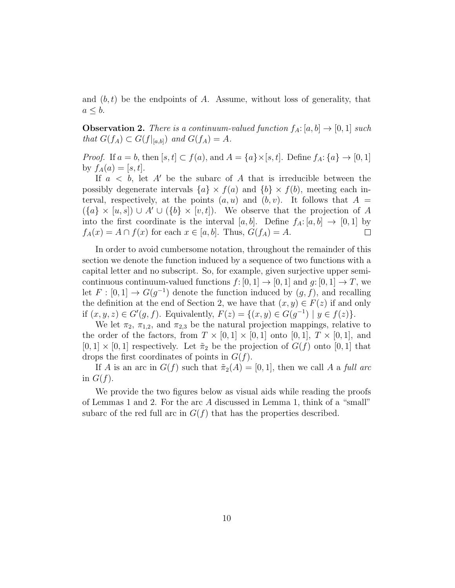and  $(b, t)$  be the endpoints of A. Assume, without loss of generality, that  $a \leq b$ .

**Observation 2.** There is a continuum-valued function  $f_A: [a, b] \rightarrow [0, 1]$  such that  $G(f_A) \subset G(f|_{[a,b]})$  and  $G(f_A) = A$ .

*Proof.* If  $a = b$ , then  $[s, t] \subset f(a)$ , and  $A = \{a\} \times [s, t]$ . Define  $f_A: \{a\} \to [0, 1]$ by  $f_A(a) = [s, t]$ .

If  $a < b$ , let A' be the subarc of A that is irreducible between the possibly degenerate intervals  ${a} \times f(a)$  and  ${b} \times f(b)$ , meeting each interval, respectively, at the points  $(a, u)$  and  $(b, v)$ . It follows that  $A =$  $(\lbrace a \rbrace \times [u, s]) \cup A' \cup (\lbrace b \rbrace \times [v, t])$ . We observe that the projection of A into the first coordinate is the interval [a, b]. Define  $f_A: [a, b] \rightarrow [0, 1]$  by  $f_A(x) = A \cap f(x)$  for each  $x \in [a, b]$ . Thus,  $G(f_A) = A$ .  $\Box$ 

In order to avoid cumbersome notation, throughout the remainder of this section we denote the function induced by a sequence of two functions with a capital letter and no subscript. So, for example, given surjective upper semicontinuous continuum-valued functions  $f: [0, 1] \rightarrow [0, 1]$  and  $g: [0, 1] \rightarrow T$ , we let  $F : [0,1] \to G(g^{-1})$  denote the function induced by  $(g, f)$ , and recalling the definition at the end of Section 2, we have that  $(x, y) \in F(z)$  if and only if  $(x, y, z) \in G'(g, f)$ . Equivalently,  $F(z) = \{(x, y) \in G(g^{-1}) \mid y \in f(z)\}.$ 

We let  $\pi_2$ ,  $\pi_{1,2}$ , and  $\pi_{2,3}$  be the natural projection mappings, relative to the order of the factors, from  $T \times [0,1] \times [0,1]$  onto  $[0,1]$ ,  $T \times [0,1]$ , and  $[0, 1] \times [0, 1]$  respectively. Let  $\tilde{\pi}_2$  be the projection of  $G(f)$  onto  $[0, 1]$  that drops the first coordinates of points in  $G(f)$ .

If A is an arc in  $G(f)$  such that  $\tilde{\pi}_2(A) = [0,1]$ , then we call A a full arc in  $G(f)$ .

We provide the two figures below as visual aids while reading the proofs of Lemmas 1 and 2. For the arc A discussed in Lemma 1, think of a "small" subarc of the red full arc in  $G(f)$  that has the properties described.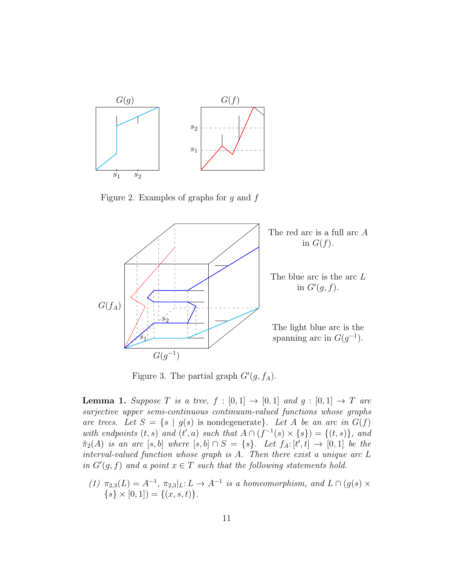

Figure 2. Examples of graphs for  $g$  and  $f$ 



Figure 3. The partial graph  $G'(g, f_A)$ .

**Lemma 1.** Suppose T is a tree,  $f : [0,1] \rightarrow [0,1]$  and  $g : [0,1] \rightarrow T$  are surjective upper semi-continuous continuum-valued functions whose graphs are trees. Let  $S = \{s \mid g(s) \text{ is nondegenerate}\}\text{.}$  Let A be an arc in  $G(f)$ with endpoints  $(t, s)$  and  $(t', a)$  such that  $A \cap (f^{-1}(s) \times \{s\}) = \{(t, s)\}\$ , and  $\tilde{\pi}_2(A)$  is an arc  $[s, b]$  where  $[s, b] \cap S = \{s\}$ . Let  $f_A: [t', t] \rightarrow [0, 1]$  be the interval-valued function whose graph is A. Then there exist a unique arc L in  $G'(g, f)$  and a point  $x \in T$  such that the following statements hold.

(1)  $\pi_{2,3}(L) = A^{-1}, \pi_{2,3}|_L: L \to A^{-1}$  is a homeomorphism, and  $L \cap (g(s) \times$  $\{s\} \times [0,1]) = \{(x, s, t)\}.$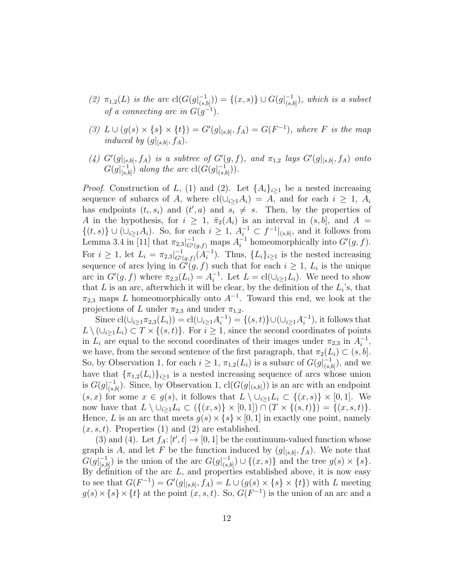- (2)  $\pi_{1,2}(L)$  is the arc  $cl(G(g|_{(s,i)}^{-1}))$  $(\begin{bmatrix} -1 \\ (s,b] \end{bmatrix}) = \{(x,s)\} \cup G(g|_{(s,b)}^{-1})$  $\binom{-1}{(s,b)}$ , which is a subset of a connecting arc in  $G(g^{-1})$ .
- (3)  $L \cup (g(s) \times \{s\} \times \{t\}) = G'(g|_{[s,b]}, f_A) = G(F^{-1}),$  where F is the map induced by  $(g|_{[s,b]}, f_A)$ .
- (4)  $G'(g|_{[s,b]}, f_A)$  is a subtree of  $G'(g, f)$ , and  $\pi_{1,2}$  lays  $G'(g|_{[s,b]}, f_A)$  onto  $G(g|_{\text{Ls}}^{-1})$  $\overline{C}_{[s,b]}^{-1}$ ) along the arc  $cl(G(g|_{(s,b]}^{-1}))$  $\frac{-1}{(s,b]})$ ).

*Proof.* Construction of L, (1) and (2). Let  $\{A_i\}_{i\geq 1}$  be a nested increasing sequence of subarcs of A, where  $cl(\cup_{i\geq 1}A_i) = A$ , and for each  $i \geq 1$ ,  $A_i$ has endpoints  $(t_i, s_i)$  and  $(t', a)$  and  $s_i \neq s$ . Then, by the properties of A in the hypothesis, for  $i \geq 1$ ,  $\tilde{\pi}_2(A_i)$  is an interval in  $(s, b]$ , and  $A =$  $\{(t, s)\}\cup(\cup_{i\geq 1}A_i)$ . So, for each  $i\geq 1$ ,  $A_i^{-1}\subset f^{-1}|_{(s,b]}$ , and it follows from Lemma 3.4 in [11] that  $\pi_{2,3}$  $\Big|_{G'(g,f)}^{-1}$  maps  $A_i^{-1}$  homeomorphically into  $G'(g,f)$ . For  $i \geq 1$ , let  $L_i = \pi_{2,3} \vert_{G'}^{-1}$  $\frac{-1}{G'(g,f)} (A_i^{-1}$  $i^{-1}$ ). Thus,  $\{L_i\}_{i\geq 1}$  is the nested increasing sequence of arcs lying in  $\tilde{G}'(g, f)$  such that for each  $i \geq 1$ ,  $L_i$  is the unique arc in  $G'(g, f)$  where  $\pi_{2,3}(L_i) = A_i^{-1}$ <sup>-1</sup>. Let  $L = \text{cl}(\cup_{i \geq 1} L_i)$ . We need to show that  $L$  is an arc, afterwhich it will be clear, by the definition of the  $L_i$ 's, that  $\pi_{2,3}$  maps L homeomorphically onto  $A^{-1}$ . Toward this end, we look at the projections of L under  $\pi_{2,3}$  and under  $\pi_{1,2}$ .

Since  $\text{cl}(\cup_{i\geq 1}\pi_{2,3}(L_i)) = \text{cl}(\cup_{i\geq 1} A_i^{-1})$  $\binom{-1}{i} = \{(s,t)\} \cup (\cup_{i\geq 1} A_i^{-1})$  $\binom{-1}{i}$ , it follows that  $L \setminus (\cup_{i>1} L_i) \subset T \times \{(s,t)\}\.$  For  $i \geq 1$ , since the second coordinates of points in  $L_i$  are equal to the second coordinates of their images under  $\pi_{2,3}$  in  $A_i^{-1}$  $\frac{-1}{i}$ , we have, from the second sentence of the first paragraph, that  $\pi_2(L_i) \subset (s, b]$ . So, by Observation 1, for each  $i \geq 1$ ,  $\pi_{1,2}(L_i)$  is a subarc of  $G(g|_{(s)}^{-1})$  $\frac{-1}{(s,b]})$ , and we have that  ${\lbrace \pi_{1,2}(L_i) \rbrace_{i\geq 1}}$  is a nested increasing sequence of arcs whose union is  $G(g|_{(s)}^{-1})$  $\binom{-1}{(s,b]}$ . Since, by Observation 1,  $\text{cl}(G(g|_{(s,b]}))$  is an arc with an endpoint  $(s, x)$  for some  $x \in g(s)$ , it follows that  $L \setminus \cup_{i>1} L_i \subset \{(x, s)\}\times [0, 1]$ . We now have that  $L \setminus \cup_{i>1} L_i \subset (\{(x,s)\}\times [0,1]) \cap (T\times \{(s,t)\}) = \{(x,s,t)\}.$ Hence, L is an arc that meets  $g(s) \times \{s\} \times [0, 1]$  in exactly one point, namely  $(x, s, t)$ . Properties (1) and (2) are established.

(3) and (4). Let  $f_A: [t', t] \to [0, 1]$  be the continuum-valued function whose graph is A, and let F be the function induced by  $(g|_{[s,b]}, f_A)$ . We note that  $G(g|_{[s}^{-1}]$  $\binom{-1}{[s,b]}$  is the union of the arc  $G(g|_{(s,b)}^{-1})$  $\binom{-1}{(s,b]} \cup \{(x,s)\}\$ and the tree  $g(s) \times \{s\}.$ By definition of the arc  $L$ , and properties established above, it is now easy to see that  $G(F^{-1}) = G'(g|_{[s,b]}, f_A) = L \cup (g(s) \times \{s\} \times \{t\})$  with L meeting  $g(s) \times \{s\} \times \{t\}$  at the point  $(x, s, t)$ . So,  $G(F^{-1})$  is the union of an arc and a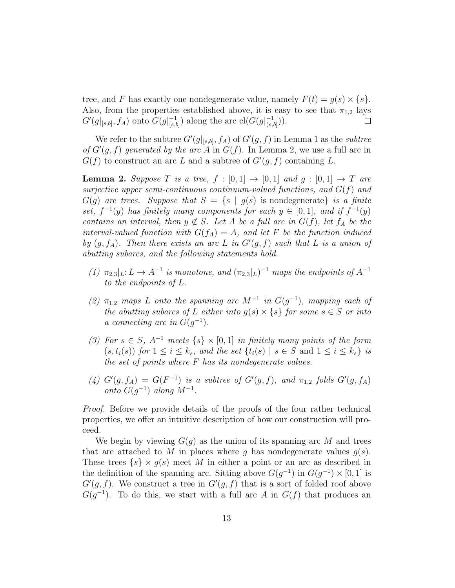tree, and F has exactly one nondegenerate value, namely  $F(t) = g(s) \times \{s\}.$ Also, from the properties established above, it is easy to see that  $\pi_{1,2}$  lays  $G'(g|_{[s,b]}, f_A)$  onto  $G(g|_{[s,b]}^{-1})$  $\binom{-1}{[s,b]}$  along the arc  $\text{cl}(G(g|\frac{-1}{(s,b]}))$  $\frac{-1}{(s,b]})$ ).  $\Box$ 

We refer to the subtree  $G'(g|_{[s,b]}, f_A)$  of  $G'(g, f)$  in Lemma 1 as the subtree of  $G'(g, f)$  generated by the arc A in  $G(f)$ . In Lemma 2, we use a full arc in  $G(f)$  to construct an arc L and a subtree of  $G'(g, f)$  containing L.

**Lemma 2.** Suppose T is a tree,  $f : [0,1] \rightarrow [0,1]$  and  $g : [0,1] \rightarrow T$  are surjective upper semi-continuous continuum-valued functions, and  $G(f)$  and  $G(g)$  are trees. Suppose that  $S = \{s \mid g(s) \text{ is nondegenerate}\}\$ is a finite set,  $f^{-1}(y)$  has finitely many components for each  $y \in [0,1]$ , and if  $f^{-1}(y)$ contains an interval, then  $y \notin S$ . Let A be a full arc in  $G(f)$ , let  $f_A$  be the interval-valued function with  $G(f_A) = A$ , and let F be the function induced by  $(g, f_A)$ . Then there exists an arc L in  $G'(g, f)$  such that L is a union of abutting subarcs, and the following statements hold.

- (1)  $\pi_{2,3}|_L: L \to A^{-1}$  is monotone, and  $(\pi_{2,3}|_L)^{-1}$  maps the endpoints of  $A^{-1}$ to the endpoints of L.
- (2)  $\pi_{1,2}$  maps L onto the spanning arc  $M^{-1}$  in  $G(g^{-1})$ , mapping each of the abutting subarcs of L either into  $g(s) \times \{s\}$  for some  $s \in S$  or into a connecting arc in  $G(g^{-1})$ .
- (3) For  $s \in S$ ,  $A^{-1}$  meets  $\{s\} \times [0,1]$  in finitely many points of the form  $(s, t_i(s))$  for  $1 \leq i \leq k_s$ , and the set  $\{t_i(s) \mid s \in S \text{ and } 1 \leq i \leq k_s\}$  is the set of points where  $F$  has its nondegenerate values.
- (4)  $G'(g, f_A) = G(F^{-1})$  is a subtree of  $G'(g, f)$ , and  $\pi_{1,2}$  folds  $G'(g, f_A)$ onto  $G(g^{-1})$  along  $M^{-1}$ .

Proof. Before we provide details of the proofs of the four rather technical properties, we offer an intuitive description of how our construction will proceed.

We begin by viewing  $G(q)$  as the union of its spanning arc M and trees that are attached to M in places where q has nondegenerate values  $q(s)$ . These trees  $\{s\} \times g(s)$  meet M in either a point or an arc as described in the definition of the spanning arc. Sitting above  $G(g^{-1})$  in  $G(g^{-1}) \times [0,1]$  is  $G'(g, f)$ . We construct a tree in  $G'(g, f)$  that is a sort of folded roof above  $G(g^{-1})$ . To do this, we start with a full arc A in  $G(f)$  that produces an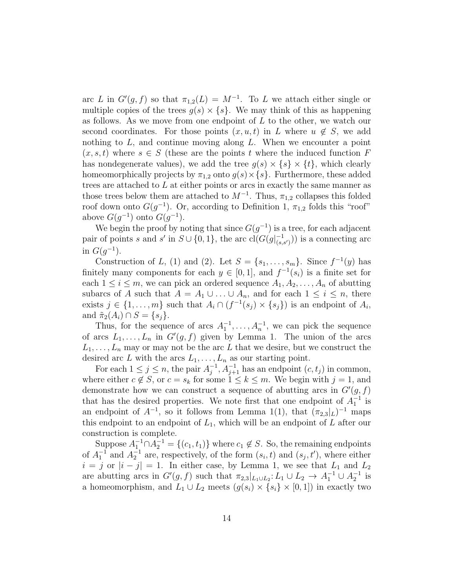arc L in  $G'(g, f)$  so that  $\pi_{1,2}(L) = M^{-1}$ . To L we attach either single or multiple copies of the trees  $g(s) \times \{s\}$ . We may think of this as happening as follows. As we move from one endpoint of L to the other, we watch our second coordinates. For those points  $(x, u, t)$  in L where  $u \notin S$ , we add nothing to  $L$ , and continue moving along  $L$ . When we encounter a point  $(x, s, t)$  where  $s \in S$  (these are the points t where the induced function F has nondegenerate values), we add the tree  $g(s) \times \{s\} \times \{t\}$ , which clearly homeomorphically projects by  $\pi_{1,2}$  onto  $g(s) \times \{s\}$ . Furthermore, these added trees are attached to  $L$  at either points or arcs in exactly the same manner as those trees below them are attached to  $M^{-1}$ . Thus,  $\pi_{1,2}$  collapses this folded roof down onto  $G(g^{-1})$ . Or, according to Definition 1,  $\pi_{1,2}$  folds this "roof" above  $G(g^{-1})$  onto  $G(g^{-1})$ .

We begin the proof by noting that since  $G(g^{-1})$  is a tree, for each adjacent pair of points s and s' in  $S \cup \{0,1\}$ , the arc  $\text{cl}(G(g|_{\text{cs}}^{-1}))$  $(\binom{-1}{(s,s')})$  is a connecting arc in  $G(g^{-1})$ .

Construction of L, (1) and (2). Let  $S = \{s_1, \ldots, s_m\}$ . Since  $f^{-1}(y)$  has finitely many components for each  $y \in [0,1]$ , and  $f^{-1}(s_i)$  is a finite set for each  $1 \leq i \leq m$ , we can pick an ordered sequence  $A_1, A_2, \ldots, A_n$  of abutting subarcs of A such that  $A = A_1 \cup ... \cup A_n$ , and for each  $1 \leq i \leq n$ , there exists  $j \in \{1, ..., m\}$  such that  $A_i \cap (f^{-1}(s_j) \times \{s_j\})$  is an endpoint of  $A_i$ , and  $\tilde{\pi}_2(A_i) \cap S = \{s_i\}.$ 

Thus, for the sequence of arcs  $A_1^{-1}, \ldots, A_n^{-1}$ , we can pick the sequence of arcs  $L_1, \ldots, L_n$  in  $G'(g, f)$  given by Lemma 1. The union of the arcs  $L_1, \ldots, L_n$  may or may not be the arc L that we desire, but we construct the desired arc L with the arcs  $L_1, \ldots, L_n$  as our starting point.

For each  $1 \leq j \leq n$ , the pair  $A_i^{-1}$  $j^{-1}, A_{j+1}^{-1}$  has an endpoint  $(c, t_j)$  in common, where either  $c \notin S$ , or  $c = s_k$  for some  $1 \leq k \leq m$ . We begin with  $j = 1$ , and demonstrate how we can construct a sequence of abutting arcs in  $G'(g, f)$ that has the desired properties. We note first that one endpoint of  $A_1^{-1}$  is an endpoint of  $A^{-1}$ , so it follows from Lemma 1(1), that  $(\pi_{2,3}|_L)^{-1}$  maps this endpoint to an endpoint of  $L_1$ , which will be an endpoint of  $L$  after our construction is complete.

Suppose  $A_1^{-1} \cap A_2^{-1} = \{(c_1, t_1)\}\$  where  $c_1 \notin S$ . So, the remaining endpoints of  $A_1^{-1}$  and  $A_2^{-1}$  are, respectively, of the form  $(s_i, t)$  and  $(s_j, t')$ , where either  $i = j$  or  $|i - j| = 1$ . In either case, by Lemma 1, we see that  $L_1$  and  $L_2$ are abutting arcs in  $G'(g, f)$  such that  $\pi_{2,3}|_{L_1\cup L_2}: L_1\cup L_2\to A_1^{-1}\cup A_2^{-1}$  is a homeomorphism, and  $L_1 \cup L_2$  meets  $(g(s_i) \times \{s_i\} \times [0,1])$  in exactly two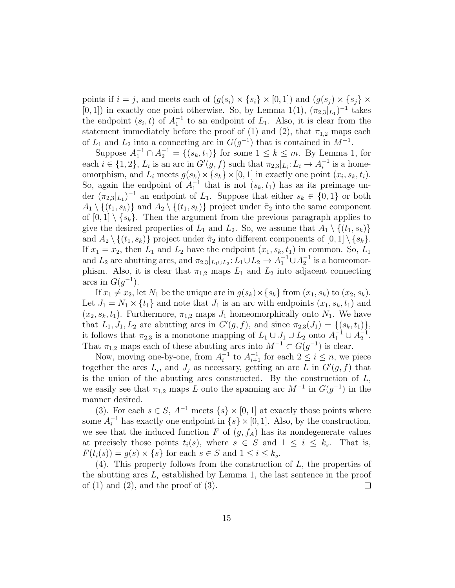points if  $i = j$ , and meets each of  $(g(s_i) \times \{s_i\} \times [0,1])$  and  $(g(s_i) \times \{s_i\} \times$ [0, 1]) in exactly one point otherwise. So, by Lemma 1(1),  $(\pi_{2,3}|_{L_1})^{-1}$  takes the endpoint  $(s_i, t)$  of  $A_1^{-1}$  to an endpoint of  $L_1$ . Also, it is clear from the statement immediately before the proof of (1) and (2), that  $\pi_{1,2}$  maps each of  $L_1$  and  $L_2$  into a connecting arc in  $G(g^{-1})$  that is contained in  $M^{-1}$ .

Suppose  $A_1^{-1} \cap A_2^{-1} = \{(s_k, t_1)\}\$ for some  $1 \leq k \leq m$ . By Lemma 1, for each  $i \in \{1, 2\}, L_i$  is an arc in  $G'(g, f)$  such that  $\pi_{2,3}|_{L_i}: L_i \to A_i^{-1}$  $i^{-1}$  is a homeomorphism, and  $L_i$  meets  $g(s_k) \times \{s_k\} \times [0, 1]$  in exactly one point  $(x_i, s_k, t_i)$ . So, again the endpoint of  $A_1^{-1}$  that is not  $(s_k, t_1)$  has as its preimage under  $(\pi_{2,3}|_{L_1})^{-1}$  an endpoint of  $L_1$ . Suppose that either  $s_k \in \{0,1\}$  or both  $A_1 \setminus \{(t_1, s_k)\}\$ and  $A_2 \setminus \{(t_1, s_k)\}\$ project under  $\tilde{\pi}_2$  into the same component of  $[0, 1] \setminus \{s_k\}$ . Then the argument from the previous paragraph applies to give the desired properties of  $L_1$  and  $L_2$ . So, we assume that  $A_1 \setminus \{(t_1, s_k)\}\$ and  $A_2 \setminus \{(t_1, s_k)\}\$ project under  $\tilde{\pi}_2$  into different components of  $[0, 1] \setminus \{s_k\}.$ If  $x_1 = x_2$ , then  $L_1$  and  $L_2$  have the endpoint  $(x_1, s_k, t_1)$  in common. So,  $L_1$ and  $L_2$  are abutting arcs, and  $\pi_{2,3}|_{L_1\cup L_2}: L_1\cup L_2 \to A_1^{-1}\cup A_2^{-1}$  is a homeomorphism. Also, it is clear that  $\pi_{1,2}$  maps  $L_1$  and  $L_2$  into adjacent connecting arcs in  $G(g^{-1})$ .

If  $x_1 \neq x_2$ , let  $N_1$  be the unique arc in  $g(s_k) \times \{s_k\}$  from  $(x_1, s_k)$  to  $(x_2, s_k)$ . Let  $J_1 = N_1 \times \{t_1\}$  and note that  $J_1$  is an arc with endpoints  $(x_1, s_k, t_1)$  and  $(x_2, s_k, t_1)$ . Furthermore,  $\pi_{1,2}$  maps  $J_1$  homeomorphically onto  $N_1$ . We have that  $L_1, J_1, L_2$  are abutting arcs in  $G'(g, f)$ , and since  $\pi_{2,3}(J_1) = \{(s_k, t_1)\},\$ it follows that  $\pi_{2,3}$  is a monotone mapping of  $L_1 \cup J_1 \cup L_2$  onto  $A_1^{-1} \cup A_2^{-1}$ . That  $\pi_{1,2}$  maps each of these abutting arcs into  $M^{-1} \subset G(g^{-1})$  is clear.

Now, moving one-by-one, from  $A_i^{-1}$  $i<sup>-1</sup>$  to  $A<sub>i+1</sub><sup>-1</sup>$  for each  $2 \le i \le n$ , we piece together the arcs  $L_i$ , and  $J_j$  as necessary, getting an arc L in  $G'(g, f)$  that is the union of the abutting arcs constructed. By the construction of  $L$ , we easily see that  $\pi_{1,2}$  maps L onto the spanning arc  $M^{-1}$  in  $G(g^{-1})$  in the manner desired.

(3). For each  $s \in S$ ,  $A^{-1}$  meets  $\{s\} \times [0,1]$  at exactly those points where some  $A_i^{-1}$  has exactly one endpoint in  $\{s\} \times [0, 1]$ . Also, by the construction, we see that the induced function F of  $(g, f_A)$  has its nondegenerate values at precisely those points  $t_i(s)$ , where  $s \in S$  and  $1 \leq i \leq k_s$ . That is,  $F(t_i(s)) = q(s) \times \{s\}$  for each  $s \in S$  and  $1 \leq i \leq k_s$ .

 $(4)$ . This property follows from the construction of L, the properties of the abutting arcs  $L_i$  established by Lemma 1, the last sentence in the proof of  $(1)$  and  $(2)$ , and the proof of  $(3)$ .  $\Box$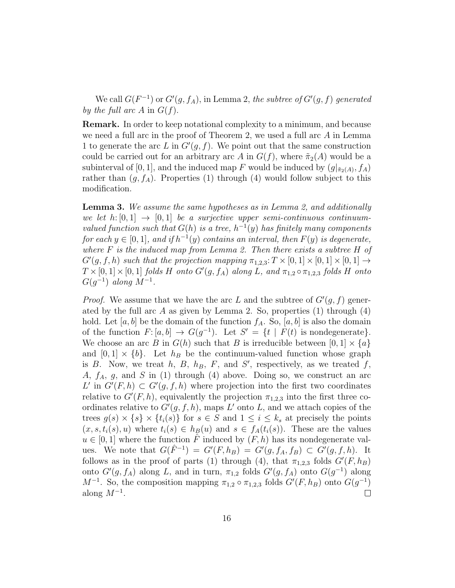We call  $G(F^{-1})$  or  $G'(g, f_A)$ , in Lemma 2, the subtree of  $G'(g, f)$  generated by the full arc A in  $G(f)$ .

Remark. In order to keep notational complexity to a minimum, and because we need a full arc in the proof of Theorem 2, we used a full arc A in Lemma 1 to generate the arc L in  $G'(g, f)$ . We point out that the same construction could be carried out for an arbitrary arc A in  $G(f)$ , where  $\tilde{\pi}_2(A)$  would be a subinterval of [0, 1], and the induced map F would be induced by  $(g|_{\tilde{\pi}_2(A)}, f_A)$ rather than  $(g, f_A)$ . Properties (1) through (4) would follow subject to this modification.

Lemma 3. We assume the same hypotheses as in Lemma 2, and additionally we let h:  $[0, 1] \rightarrow [0, 1]$  be a surjective upper semi-continuous continuumvalued function such that  $G(h)$  is a tree,  $h^{-1}(y)$  has finitely many components for each  $y \in [0,1]$ , and if  $h^{-1}(y)$  contains an interval, then  $F(y)$  is degenerate, where  $F$  is the induced map from Lemma 2. Then there exists a subtree  $H$  of  $G'(g, f, h)$  such that the projection mapping  $\pi_{1,2,3}: T \times [0, 1] \times [0, 1] \times [0, 1] \rightarrow$  $T \times [0, 1] \times [0, 1]$  folds H onto  $G'(g, f_A)$  along L, and  $\pi_{1,2} \circ \pi_{1,2,3}$  folds H onto  $G(g^{-1})$  along  $M^{-1}$ .

*Proof.* We assume that we have the arc L and the subtree of  $G'(g, f)$  generated by the full arc A as given by Lemma 2. So, properties  $(1)$  through  $(4)$ hold. Let  $[a, b]$  be the domain of the function  $f_A$ . So,  $[a, b]$  is also the domain of the function  $F: [a, b] \to G(g^{-1})$ . Let  $S' = \{t \mid F(t) \text{ is nondegenerate}\}.$ We choose an arc B in  $G(h)$  such that B is irreducible between  $[0, 1] \times \{a\}$ and  $[0, 1] \times \{b\}$ . Let  $h_B$  be the continuum-valued function whose graph is B. Now, we treat h, B,  $h_B$ , F, and S', respectively, as we treated f, A,  $f_A$ , g, and S in (1) through (4) above. Doing so, we construct an arc L' in  $G'(F, h) \subset G'(g, f, h)$  where projection into the first two coordinates relative to  $G'(F, h)$ , equivalently the projection  $\pi_{1,2,3}$  into the first three coordinates relative to  $G'(g, f, h)$ , maps L' onto L, and we attach copies of the trees  $g(s) \times \{s\} \times \{t_i(s)\}\$ for  $s \in S$  and  $1 \leq i \leq k_s$  at precisely the points  $(x, s, t_i(s), u)$  where  $t_i(s) \in h_B(u)$  and  $s \in f_A(t_i(s))$ . These are the values  $u \in [0,1]$  where the function  $\hat{F}$  induced by  $(F, h)$  has its nondegenerate values. We note that  $G(\hat{F}^{-1}) = G'(F, h_B) = G'(g, f_A, f_B) \subset G'(g, f, h)$ . It follows as in the proof of parts (1) through (4), that  $\pi_{1,2,3}$  folds  $G'(F, h_B)$ onto  $G'(g, f_A)$  along L, and in turn,  $\pi_{1,2}$  folds  $G'(g, f_A)$  onto  $G(g^{-1})$  along  $M^{-1}$ . So, the composition mapping  $\pi_{1,2} \circ \pi_{1,2,3}$  folds  $G'(F,h_B)$  onto  $G(g^{-1})$ along  $M^{-1}$ .  $\Box$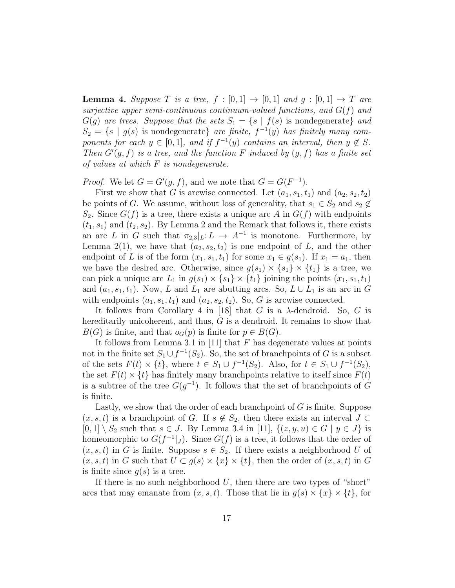**Lemma 4.** Suppose T is a tree,  $f : [0,1] \rightarrow [0,1]$  and  $q : [0,1] \rightarrow T$  are surjective upper semi-continuous continuum-valued functions, and  $G(f)$  and  $G(g)$  are trees. Suppose that the sets  $S_1 = \{s \mid f(s) \text{ is nondegenerate}\}\$ and  $S_2 = \{s \mid g(s)$  is nondegenerate} are finite,  $f^{-1}(y)$  has finitely many components for each  $y \in [0,1]$ , and if  $f^{-1}(y)$  contains an interval, then  $y \notin S$ . Then  $G'(g, f)$  is a tree, and the function F induced by  $(g, f)$  has a finite set of values at which F is nondegenerate.

*Proof.* We let  $G = G'(g, f)$ , and we note that  $G = G(F^{-1})$ .

First we show that G is arcwise connected. Let  $(a_1, s_1, t_1)$  and  $(a_2, s_2, t_2)$ be points of G. We assume, without loss of generality, that  $s_1 \in S_2$  and  $s_2 \notin$  $S_2$ . Since  $G(f)$  is a tree, there exists a unique arc A in  $G(f)$  with endpoints  $(t_1, s_1)$  and  $(t_2, s_2)$ . By Lemma 2 and the Remark that follows it, there exists an arc L in G such that  $\pi_{2,3}|_L: L \to A^{-1}$  is monotone. Furthermore, by Lemma 2(1), we have that  $(a_2, s_2, t_2)$  is one endpoint of L, and the other endpoint of L is of the form  $(x_1, s_1, t_1)$  for some  $x_1 \in g(s_1)$ . If  $x_1 = a_1$ , then we have the desired arc. Otherwise, since  $g(s_1) \times \{s_1\} \times \{t_1\}$  is a tree, we can pick a unique arc  $L_1$  in  $g(s_1) \times \{s_1\} \times \{t_1\}$  joining the points  $(x_1, s_1, t_1)$ and  $(a_1, s_1, t_1)$ . Now, L and  $L_1$  are abutting arcs. So,  $L \cup L_1$  is an arc in G with endpoints  $(a_1, s_1, t_1)$  and  $(a_2, s_2, t_2)$ . So, G is arcwise connected.

It follows from Corollary 4 in [18] that G is a  $\lambda$ -dendroid. So, G is hereditarily unicoherent, and thus, G is a dendroid. It remains to show that  $B(G)$  is finite, and that  $o_G(p)$  is finite for  $p \in B(G)$ .

It follows from Lemma 3.1 in [11] that  $F$  has degenerate values at points not in the finite set  $S_1 \cup f^{-1}(S_2)$ . So, the set of branchpoints of G is a subset of the sets  $F(t) \times \{t\}$ , where  $t \in S_1 \cup f^{-1}(S_2)$ . Also, for  $t \in S_1 \cup f^{-1}(S_2)$ , the set  $F(t) \times \{t\}$  has finitely many branchpoints relative to itself since  $F(t)$ is a subtree of the tree  $G(g^{-1})$ . It follows that the set of branchpoints of G is finite.

Lastly, we show that the order of each branchpoint of  $G$  is finite. Suppose  $(x, s, t)$  is a branchpoint of G. If  $s \notin S_2$ , then there exists an interval  $J \subset$  $[0, 1] \setminus S_2$  such that  $s \in J$ . By Lemma 3.4 in [11],  $\{(z, y, u) \in G \mid y \in J\}$  is homeomorphic to  $G(f^{-1}|_J)$ . Since  $G(f)$  is a tree, it follows that the order of  $(x, s, t)$  in G is finite. Suppose  $s \in S_2$ . If there exists a neighborhood U of  $(x, s, t)$  in G such that  $U \subset g(s) \times \{x\} \times \{t\}$ , then the order of  $(x, s, t)$  in G is finite since  $q(s)$  is a tree.

If there is no such neighborhood  $U$ , then there are two types of "short" arcs that may emanate from  $(x, s, t)$ . Those that lie in  $g(s) \times \{x\} \times \{t\}$ , for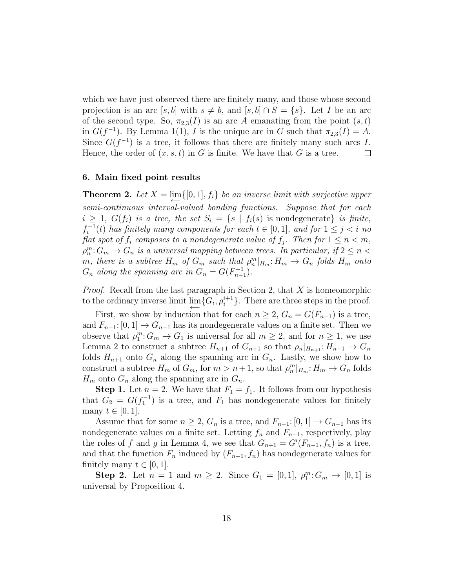which we have just observed there are finitely many, and those whose second projection is an arc [s, b] with  $s \neq b$ , and  $[s, b] \cap S = \{s\}$ . Let I be an arc of the second type. So,  $\pi_{2,3}(I)$  is an arc A emanating from the point  $(s, t)$ in  $G(f^{-1})$ . By Lemma 1(1), I is the unique arc in G such that  $\pi_{2,3}(I) = A$ . Since  $G(f^{-1})$  is a tree, it follows that there are finitely many such arcs I. Hence, the order of  $(x, s, t)$  in G is finite. We have that G is a tree.  $\Box$ 

#### 6. Main fixed point results

**Theorem 2.** Let  $X = \lim_{n \to \infty} \{ [0, 1], f_i \}$  be an inverse limit with surjective upper semi-continuous interval-valued bonding functions. Suppose that for each  $i \geq 1$ ,  $G(f_i)$  is a tree, the set  $S_i = \{s \mid f_i(s)$  is nondegenerate} is finite,  $f_i^{-1}$  $i_{i}^{-1}(t)$  has finitely many components for each  $t \in [0,1]$ , and for  $1 \leq j < i$  no flat spot of  $f_i$  composes to a nondegenerate value of  $f_j$ . Then for  $1 \leq n < m$ ,  $\rho^m_n:G_m\to G_n$  is a universal mapping between trees. In particular, if  $2\leq n<\infty$ m, there is a subtree  $H_m$  of  $G_m$  such that  $\rho_n^m|_{H_m}: H_m \to G_n$  folds  $H_m$  onto  $G_n$  along the spanning arc in  $G_n = G(F_{n-1}^{-1})$ .

*Proof.* Recall from the last paragraph in Section 2, that  $X$  is homeomorphic to the ordinary inverse limit  $\varprojlim \{ G_i, \rho_i^{i+1} \}.$  There are three steps in the proof.

First, we show by induction that for each  $n \geq 2$ ,  $G_n = G(F_{n-1})$  is a tree, and  $F_{n-1}: [0, 1] \to G_{n-1}$  has its nondegenerate values on a finite set. Then we observe that  $\rho_1^m: G_m \to G_1$  is universal for all  $m \geq 2$ , and for  $n \geq 1$ , we use Lemma 2 to construct a subtree  $H_{n+1}$  of  $G_{n+1}$  so that  $\rho_n|_{H_{n+1}}: H_{n+1} \to G_n$ folds  $H_{n+1}$  onto  $G_n$  along the spanning arc in  $G_n$ . Lastly, we show how to construct a subtree  $H_m$  of  $G_m$ , for  $m > n+1$ , so that  $\rho_n^m|_{H_m}: H_m \to G_n$  folds  $H_m$  onto  $G_n$  along the spanning arc in  $G_n$ .

**Step 1.** Let  $n = 2$ . We have that  $F_1 = f_1$ . It follows from our hypothesis that  $G_2 = G(f_1^{-1})$  is a tree, and  $F_1$  has nondegenerate values for finitely many  $t \in [0, 1]$ .

Assume that for some  $n \geq 2$ ,  $G_n$  is a tree, and  $F_{n-1}: [0, 1] \to G_{n-1}$  has its nondegenerate values on a finite set. Letting  $f_n$  and  $F_{n-1}$ , respectively, play the roles of f and g in Lemma 4, we see that  $G_{n+1} = G'(F_{n-1}, f_n)$  is a tree, and that the function  $F_n$  induced by  $(F_{n-1}, f_n)$  has nondegenerate values for finitely many  $t \in [0, 1]$ .

**Step 2.** Let  $n = 1$  and  $m \ge 2$ . Since  $G_1 = [0, 1], \rho_1^m: G_m \to [0, 1]$  is universal by Proposition 4.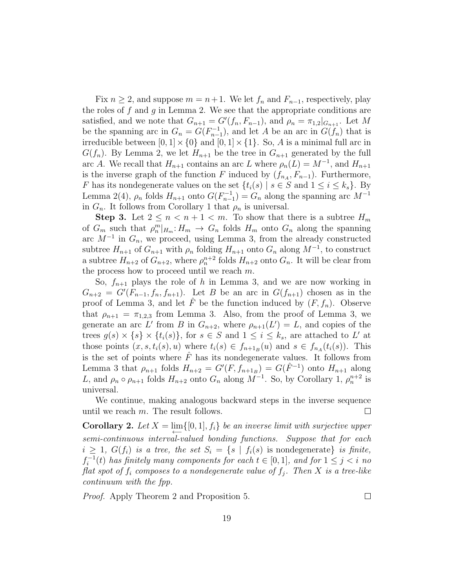Fix  $n \geq 2$ , and suppose  $m = n+1$ . We let  $f_n$  and  $F_{n-1}$ , respectively, play the roles of f and g in Lemma 2. We see that the appropriate conditions are satisfied, and we note that  $G_{n+1} = G'(f_n, F_{n-1})$ , and  $\rho_n = \pi_{1,2} |_{G_{n+1}}$ . Let M be the spanning arc in  $G_n = G(F_{n-1}^{-1})$ , and let A be an arc in  $G(f_n)$  that is irreducible between  $[0, 1] \times \{0\}$  and  $[0, 1] \times \{1\}$ . So, A is a minimal full arc in  $G(f_n)$ . By Lemma 2, we let  $H_{n+1}$  be the tree in  $G_{n+1}$  generated by the full arc A. We recall that  $H_{n+1}$  contains an arc L where  $\rho_n(L) = M^{-1}$ , and  $H_{n+1}$ is the inverse graph of the function F induced by  $(f_{n_A}, F_{n-1})$ . Furthermore, F has its nondegenerate values on the set  $\{t_i(s) | s \in S \text{ and } 1 \le i \le k_s\}$ . By Lemma 2(4),  $\rho_n$  folds  $H_{n+1}$  onto  $G(F_{n-1}^{-1}) = G_n$  along the spanning arc  $M^{-1}$ in  $G_n$ . It follows from Corollary 1 that  $\rho_n$  is universal.

**Step 3.** Let  $2 \leq n < n+1 < m$ . To show that there is a subtree  $H_m$ of  $G_m$  such that  $\rho_n^m|_{H_m}: H_m \to G_n$  folds  $H_m$  onto  $G_n$  along the spanning arc  $M^{-1}$  in  $G_n$ , we proceed, using Lemma 3, from the already constructed subtree  $H_{n+1}$  of  $G_{n+1}$  with  $\rho_n$  folding  $H_{n+1}$  onto  $G_n$  along  $M^{-1}$ , to construct a subtree  $H_{n+2}$  of  $G_{n+2}$ , where  $\rho_n^{n+2}$  folds  $H_{n+2}$  onto  $G_n$ . It will be clear from the process how to proceed until we reach  $m$ .

So,  $f_{n+1}$  plays the role of h in Lemma 3, and we are now working in  $G_{n+2} = G'(F_{n-1}, f_n, f_{n+1})$ . Let B be an arc in  $G(f_{n+1})$  chosen as in the proof of Lemma 3, and let  $\tilde{F}$  be the function induced by  $(F, f_n)$ . Observe that  $\rho_{n+1} = \pi_{1,2,3}$  from Lemma 3. Also, from the proof of Lemma 3, we generate an arc L' from B in  $G_{n+2}$ , where  $\rho_{n+1}(L') = L$ , and copies of the trees  $g(s) \times \{s\} \times \{t_i(s)\}\$ , for  $s \in S$  and  $1 \leq i \leq k_s$ , are attached to L' at those points  $(x, s, t_i(s), u)$  where  $t_i(s) \in f_{n+1_B}(u)$  and  $s \in f_{n_A}(t_i(s))$ . This is the set of points where  $\hat{F}$  has its nondegenerate values. It follows from Lemma 3 that  $\rho_{n+1}$  folds  $H_{n+2} = G'(F, f_{n+1_B}) = G(\hat{F}^{-1})$  onto  $H_{n+1}$  along L, and  $\rho_n \circ \rho_{n+1}$  folds  $H_{n+2}$  onto  $G_n$  along  $M^{-1}$ . So, by Corollary 1,  $\rho_n^{n+2}$  is universal.

We continue, making analogous backward steps in the inverse sequence until we reach  $m$ . The result follows.  $\Box$ 

**Corollary 2.** Let  $X = \lim_{n \to \infty} \{ [0, 1], f_i \}$  be an inverse limit with surjective upper semi-continuous interval-valued bonding functions. Suppose that for each  $i \geq 1$ ,  $G(f_i)$  is a tree, the set  $S_i = \{s \mid f_i(s)$  is nondegenerate is finite,  $f_i^{-1}$  $i_{i}^{-1}(t)$  has finitely many components for each  $t \in [0,1]$ , and for  $1 \leq j < i$  no flat spot of  $f_i$  composes to a nondegenerate value of  $f_i$ . Then X is a tree-like continuum with the fpp.

Proof. Apply Theorem 2 and Proposition 5.

 $\Box$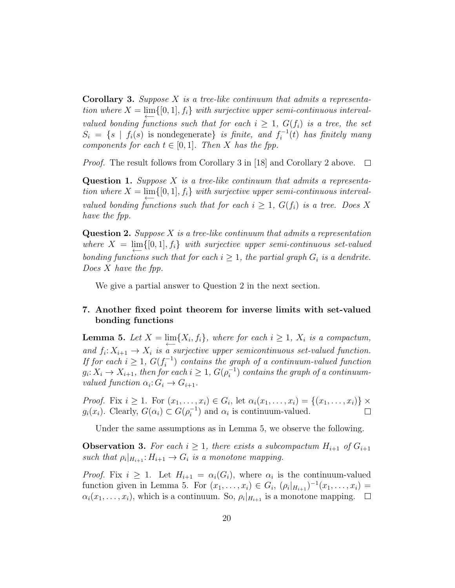**Corollary 3.** Suppose X is a tree-like continuum that admits a representation where  $X = \lim_{\longleftarrow} \{ [0, 1], f_i \}$  with surjective upper semi-continuous intervalvalued bonding functions such that for each  $i \geq 1$ ,  $G(f_i)$  is a tree, the set  $S_i = \{s \mid f_i(s) \text{ is nondegenerate}\}\$ is finite, and  $f_i^{-1}$  $i_i^{-1}(t)$  has finitely many components for each  $t \in [0,1]$ . Then X has the fpp.

Proof. The result follows from Corollary 3 in [18] and Corollary 2 above.  $\Box$ 

**Question 1.** Suppose  $X$  is a tree-like continuum that admits a representation where  $X = \lim_{n \to \infty} \{ [0, 1], f_i \}$  with surjective upper semi-continuous intervalvalued bonding functions such that for each  $i > 1$ ,  $G(f_i)$  is a tree. Does X have the fpp.

**Question 2.** Suppose X is a tree-like continuum that admits a representation where  $X = \lim_{\longleftarrow} \{ [0,1], f_i \}$  with surjective upper semi-continuous set-valued bonding functions such that for each  $i \geq 1$ , the partial graph  $G_i$  is a dendrite. Does X have the fpp.

We give a partial answer to Question 2 in the next section.

# 7. Another fixed point theorem for inverse limits with set-valued bonding functions

**Lemma 5.** Let  $X = \lim_{n \to \infty} \{X_i, f_i\}$ , where for each  $i \geq 1$ ,  $X_i$  is a compactum, and  $f_i: X_{i+1} \to X_i$  is a surjective upper semicontinuous set-valued function. If for each  $i \geq 1$ ,  $G(f_i^{-1})$  $i_i^{(-1)}$  contains the graph of a continuum-valued function  $g_i: X_i \to X_{i+1}$ , then for each  $i \geq 1$ ,  $G(\rho_i^{-1})$  $i^{-1}$ ) contains the graph of a continuumvalued function  $\alpha_i: G_i \to G_{i+1}$ .

*Proof.* Fix  $i \geq 1$ . For  $(x_1, \ldots, x_i) \in G_i$ , let  $\alpha_i(x_1, \ldots, x_i) = \{(x_1, \ldots, x_i)\} \times$  $g_i(x_i)$ . Clearly,  $G(\alpha_i) \subset G(\rho_i^{-1})$  $\binom{-1}{i}$  and  $\alpha_i$  is continuum-valued.  $\Box$ 

Under the same assumptions as in Lemma 5, we observe the following.

**Observation 3.** For each  $i \geq 1$ , there exists a subcompactum  $H_{i+1}$  of  $G_{i+1}$ such that  $\rho_i|_{H_{i+1}}: H_{i+1} \to G_i$  is a monotone mapping.

*Proof.* Fix  $i \geq 1$ . Let  $H_{i+1} = \alpha_i(G_i)$ , where  $\alpha_i$  is the continuum-valued function given in Lemma 5. For  $(x_1, ..., x_i) \in G_i$ ,  $(\rho_i|_{H_{i+1}})^{-1}(x_1, ..., x_i) =$  $\alpha_i(x_1,\ldots,x_i)$ , which is a continuum. So,  $\rho_i|_{H_{i+1}}$  is a monotone mapping.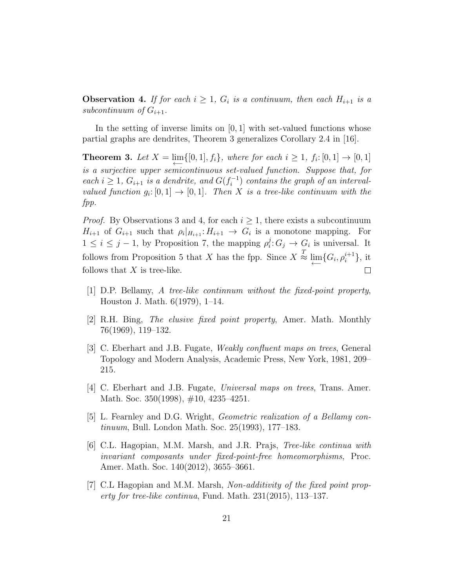**Observation 4.** If for each  $i \geq 1$ ,  $G_i$  is a continuum, then each  $H_{i+1}$  is a subcontinuum of  $G_{i+1}$ .

In the setting of inverse limits on  $[0, 1]$  with set-valued functions whose partial graphs are dendrites, Theorem 3 generalizes Corollary 2.4 in [16].

**Theorem 3.** Let  $X = \lim_{n \to \infty} \{ [0, 1], f_i \}$ , where for each  $i \geq 1$ ,  $f_i : [0, 1] \to [0, 1]$ is a surjective upper semicontinuous set-valued function. Suppose that, for each  $i \geq 1$ ,  $G_{i+1}$  is a dendrite, and  $G(f_i^{-1})$  $i_i^{-1}$ ) contains the graph of an intervalvalued function  $g_i: [0,1] \to [0,1]$ . Then X is a tree-like continuum with the fpp.

*Proof.* By Observations 3 and 4, for each  $i \geq 1$ , there exists a subcontinuum  $H_{i+1}$  of  $G_{i+1}$  such that  $\rho_i|_{H_{i+1}}: H_{i+1} \to G_i$  is a monotone mapping. For  $1 \leq i \leq j-1$ , by Proposition 7, the mapping  $\rho_i^j$  $i: G_j \to G_i$  is universal. It follows from Proposition 5 that X has the fpp. Since  $X \stackrel{T}{\approx} \varprojlim \{ G_i, \rho_i^{i+1} \},\$  it follows that  $X$  is tree-like.  $\Box$ 

- [1] D.P. Bellamy, A tree-like continnum without the fixed-point property, Houston J. Math. 6(1979), 1–14.
- [2] R.H. Bing, The elusive fixed point property, Amer. Math. Monthly 76(1969), 119–132.
- [3] C. Eberhart and J.B. Fugate, Weakly confluent maps on trees, General Topology and Modern Analysis, Academic Press, New York, 1981, 209– 215.
- [4] C. Eberhart and J.B. Fugate, Universal maps on trees, Trans. Amer. Math. Soc. 350(1998), #10, 4235-4251.
- [5] L. Fearnley and D.G. Wright, Geometric realization of a Bellamy continuum, Bull. London Math. Soc. 25(1993), 177–183.
- [6] C.L. Hagopian, M.M. Marsh, and J.R. Prajs, Tree-like continua with invariant composants under fixed-point-free homeomorphisms, Proc. Amer. Math. Soc. 140(2012), 3655–3661.
- [7] C.L Hagopian and M.M. Marsh, Non-additivity of the fixed point property for tree-like continua, Fund. Math. 231(2015), 113–137.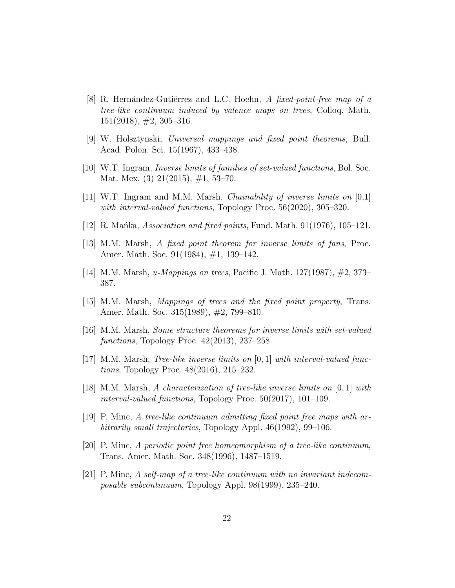- [8] R. Hernández-Gutiérrez and L.C. Hoehn, A fixed-point-free map of a tree-like continuum induced by valence maps on trees, Colloq. Math.  $151(2018), #2, 305-316.$
- [9] W. Holsztynski, Universal mappings and fixed point theorems, Bull. Acad. Polon. Sci. 15(1967), 433–438.
- [10] W.T. Ingram, Inverse limits of families of set-valued functions, Bol. Soc. Mat. Mex. (3) 21(2015), #1, 53–70.
- [11] W.T. Ingram and M.M. Marsh, Chainability of inverse limits on [0,1] with interval-valued functions, Topology Proc. 56(2020), 305–320.
- [12] R. Manka, Association and fixed points, Fund. Math.  $91(1976)$ , 105–121.
- [13] M.M. Marsh, A fixed point theorem for inverse limits of fans, Proc. Amer. Math. Soc. 91(1984), #1, 139–142.
- [14] M.M. Marsh, u-Mappings on trees, Pacific J. Math. 127(1987), #2, 373– 387.
- [15] M.M. Marsh, Mappings of trees and the fixed point property, Trans. Amer. Math. Soc. 315(1989), #2, 799–810.
- [16] M.M. Marsh, Some structure theorems for inverse limits with set-valued functions, Topology Proc. 42(2013), 237–258.
- [17] M.M. Marsh, Tree-like inverse limits on [0, 1] with interval-valued functions, Topology Proc. 48(2016), 215–232.
- [18] M.M. Marsh, A characterization of tree-like inverse limits on [0, 1] with interval-valued functions, Topology Proc. 50(2017), 101–109.
- [19] P. Minc, A tree-like continuum admitting fixed point free maps with arbitrarily small trajectories, Topology Appl. 46(1992), 99–106.
- [20] P. Minc, A periodic point free homeomorphism of a tree-like continuum, Trans. Amer. Math. Soc. 348(1996), 1487–1519.
- [21] P. Minc, A self-map of a tree-like continuum with no invariant indecomposable subcontinuum, Topology Appl. 98(1999), 235–240.